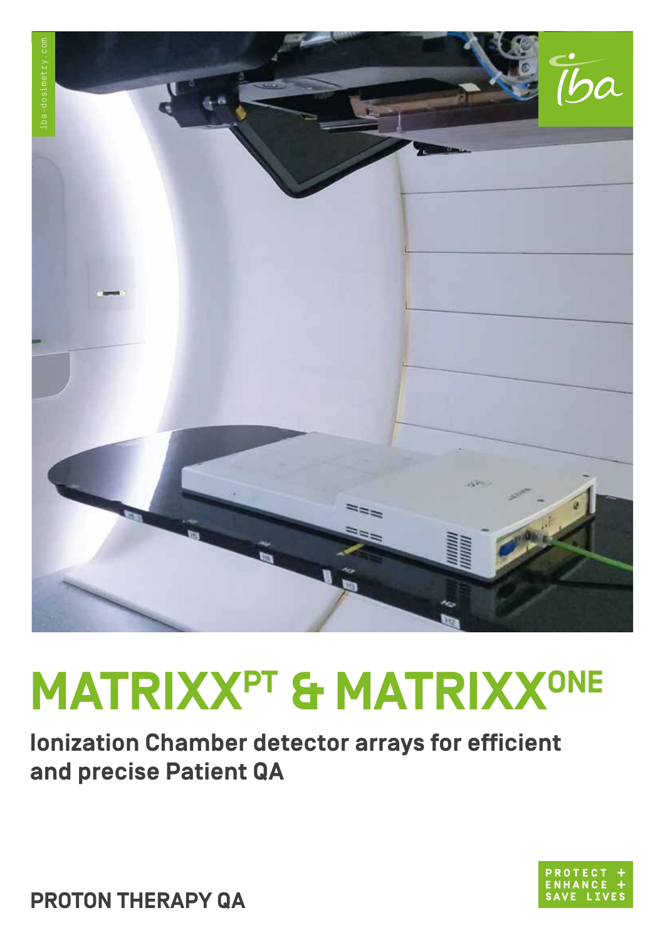

# **MATRIXXPT & MATRIXXONE**

**Ionization Chamber detector arrays for efficient and precise Patient QA** 



**PROTON THERAPY QA**